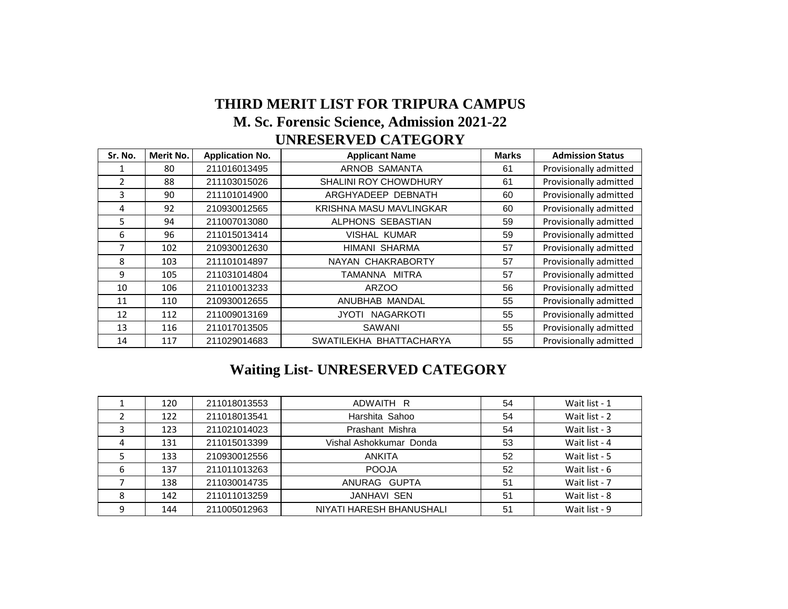## **THIRD MERIT LIST FOR TRIPURA CAMPUS M. Sc. Forensic Science, Admission 2021-22 UNRESERVED CATEGORY**

| Sr. No.        | Merit No. | <b>Application No.</b> | <b>Applicant Name</b>        | <b>Marks</b> | <b>Admission Status</b> |
|----------------|-----------|------------------------|------------------------------|--------------|-------------------------|
|                | 80        | 211016013495           | ARNOB SAMANTA                | 61           | Provisionally admitted  |
| $\mathfrak{p}$ | 88        | 211103015026           | <b>SHALINI ROY CHOWDHURY</b> | 61           | Provisionally admitted  |
| 3              | 90        | 211101014900           | ARGHYADEEP DEBNATH           | 60           | Provisionally admitted  |
| 4              | 92        | 210930012565           | KRISHNA MASU MAVLINGKAR      | 60           | Provisionally admitted  |
| 5              | 94        | 211007013080           | ALPHONS SEBASTIAN            | 59           | Provisionally admitted  |
| 6              | 96        | 211015013414           | <b>VISHAL KUMAR</b>          | 59           | Provisionally admitted  |
| 7              | 102       | 210930012630           | HIMANI SHARMA                | 57           | Provisionally admitted  |
| 8              | 103       | 211101014897           | NAYAN CHAKRABORTY            | 57           | Provisionally admitted  |
| 9              | 105       | 211031014804           | TAMANNA MITRA                | 57           | Provisionally admitted  |
| 10             | 106       | 211010013233           | <b>ARZOO</b>                 | 56           | Provisionally admitted  |
| 11             | 110       | 210930012655           | ANUBHAB MANDAL               | 55           | Provisionally admitted  |
| 12             | 112       | 211009013169           | JYOTI NAGARKOTI              | 55           | Provisionally admitted  |
| 13             | 116       | 211017013505           | SAWANI                       | 55           | Provisionally admitted  |
| 14             | 117       | 211029014683           | SWATILEKHA BHATTACHARYA      | 55           | Provisionally admitted  |

## **Waiting List- UNRESERVED CATEGORY**

| 120 | 211018013553 | ADWAITH R                | 54 | Wait list - 1 |
|-----|--------------|--------------------------|----|---------------|
| 122 | 211018013541 | Harshita Sahoo           | 54 | Wait list - 2 |
| 123 | 211021014023 | Prashant Mishra          | 54 | Wait list - 3 |
| 131 | 211015013399 | Vishal Ashokkumar Donda  | 53 | Wait list - 4 |
| 133 | 210930012556 | ANKITA                   | 52 | Wait list - 5 |
| 137 | 211011013263 | <b>POOJA</b>             | 52 | Wait list - 6 |
| 138 | 211030014735 | ANURAG GUPTA             | 51 | Wait list - 7 |
| 142 | 211011013259 | <b>JANHAVI SEN</b>       | 51 | Wait list - 8 |
| 144 | 211005012963 | NIYATI HARESH BHANUSHALI | 51 | Wait list - 9 |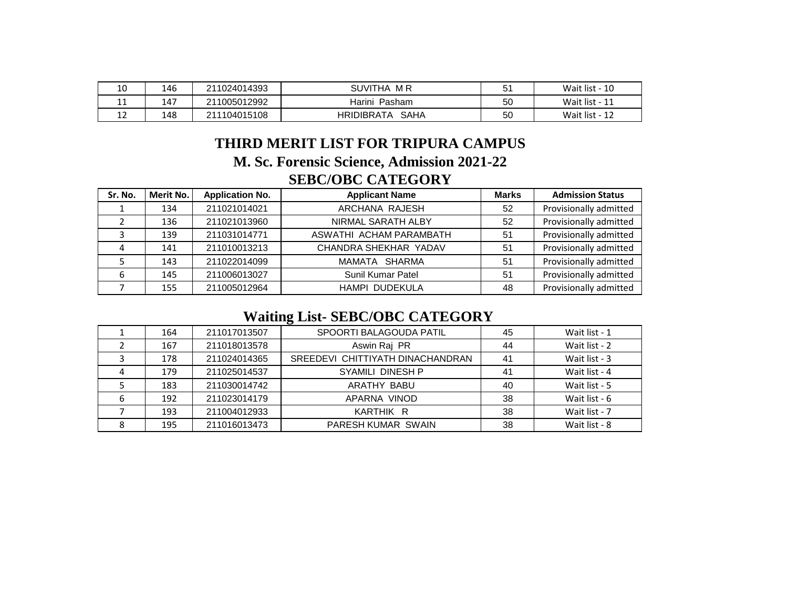| 10 | 146 | 211024014393 | <b>SUVITHA</b><br>M R     | г.<br>◡ | Wait list - 10 |
|----|-----|--------------|---------------------------|---------|----------------|
| 11 | 147 | 211005012992 | Harini<br>Pasham          | 50      | Wait list - 11 |
| 12 | 148 | 211104015108 | <b>SAHA</b><br>HRIDIBRATA | 50      | Wait list - 12 |

## **SEBC/OBC CATEGORY THIRD MERIT LIST FOR TRIPURA CAMPUS M. Sc. Forensic Science, Admission 2021-22**

| Sr. No. | Merit No. | <b>Application No.</b> | <b>Applicant Name</b>   | <b>Marks</b> | <b>Admission Status</b> |
|---------|-----------|------------------------|-------------------------|--------------|-------------------------|
|         | 134       | 211021014021           | ARCHANA RAJESH          | 52           | Provisionally admitted  |
|         | 136       | 211021013960           | NIRMAL SARATH ALBY      | 52           | Provisionally admitted  |
|         | 139       | 211031014771           | ASWATHI ACHAM PARAMBATH | 51           | Provisionally admitted  |
|         | 141       | 211010013213           | CHANDRA SHEKHAR YADAV   | 51           | Provisionally admitted  |
|         | 143       | 211022014099           | MAMATA SHARMA           | 51           | Provisionally admitted  |
| 6       | 145       | 211006013027           | Sunil Kumar Patel       | 51           | Provisionally admitted  |
|         | 155       | 211005012964           | <b>HAMPI DUDEKULA</b>   | 48           | Provisionally admitted  |

## **Waiting List- SEBC/OBC CATEGORY**

|   | 164 | 211017013507 | SPOORTI BALAGOUDA PATIL          | 45 | Wait list - 1 |
|---|-----|--------------|----------------------------------|----|---------------|
|   | 167 | 211018013578 | Aswin Raj PR                     | 44 | Wait list - 2 |
|   | 178 | 211024014365 | SREEDEVI CHITTIYATH DINACHANDRAN | 41 | Wait list - 3 |
|   | 179 | 211025014537 | SYAMILI DINESH P                 | 41 | Wait list - 4 |
|   | 183 | 211030014742 | ARATHY BABU                      | 40 | Wait list - 5 |
| 6 | 192 | 211023014179 | APARNA VINOD                     | 38 | Wait list - 6 |
|   | 193 | 211004012933 | KARTHIK R                        | 38 | Wait list - 7 |
|   | 195 | 211016013473 | PARESH KUMAR SWAIN               | 38 | Wait list - 8 |